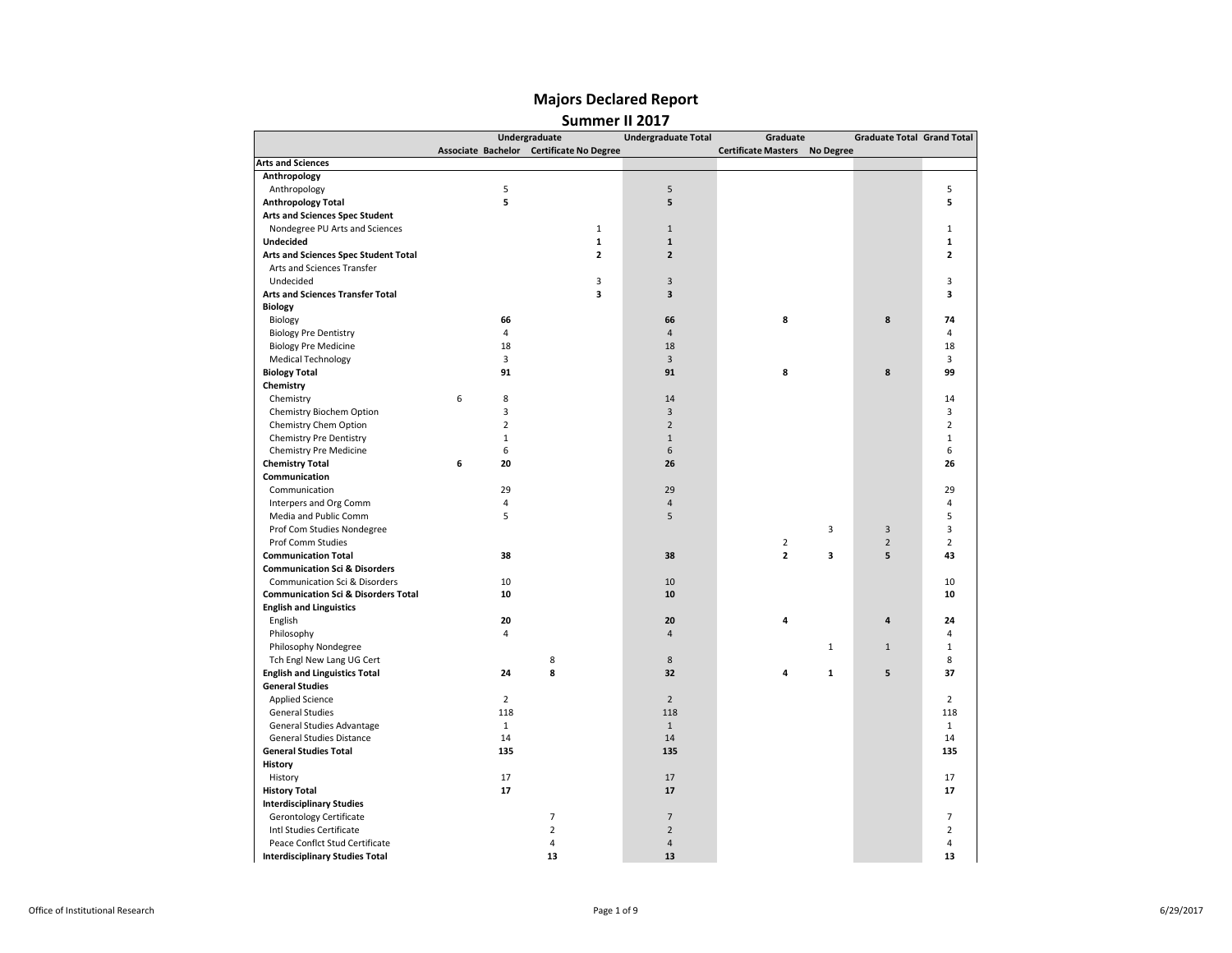|                                                |                | Undergraduate                            | <b>Undergraduate Total</b> | Graduate                   |                  | <b>Graduate Total Grand Total</b> |                |
|------------------------------------------------|----------------|------------------------------------------|----------------------------|----------------------------|------------------|-----------------------------------|----------------|
|                                                |                | Associate Bachelor Certificate No Degree |                            | <b>Certificate Masters</b> | <b>No Degree</b> |                                   |                |
| <b>Arts and Sciences</b>                       |                |                                          |                            |                            |                  |                                   |                |
| Anthropology                                   |                |                                          |                            |                            |                  |                                   |                |
| Anthropology                                   | 5              |                                          | 5                          |                            |                  |                                   | 5              |
| <b>Anthropology Total</b>                      | 5              |                                          | 5                          |                            |                  |                                   | 5              |
| Arts and Sciences Spec Student                 |                |                                          |                            |                            |                  |                                   |                |
| Nondegree PU Arts and Sciences                 |                | $\mathbf{1}$                             | $\mathbf 1$                |                            |                  |                                   | $\mathbf{1}$   |
| <b>Undecided</b>                               |                | 1                                        | $\mathbf{1}$               |                            |                  |                                   | 1              |
| Arts and Sciences Spec Student Total           |                | $\mathbf{z}$                             | $\overline{2}$             |                            |                  |                                   | $\overline{2}$ |
| Arts and Sciences Transfer                     |                |                                          |                            |                            |                  |                                   |                |
| Undecided                                      |                | 3                                        | 3                          |                            |                  |                                   | 3              |
| <b>Arts and Sciences Transfer Total</b>        |                | 3                                        | $\overline{\mathbf{3}}$    |                            |                  |                                   | 3              |
| <b>Biology</b>                                 |                |                                          |                            |                            |                  |                                   |                |
| Biology                                        | 66             |                                          | 66                         | 8                          |                  | 8                                 | 74             |
| <b>Biology Pre Dentistry</b>                   | $\overline{4}$ |                                          | $\overline{4}$             |                            |                  |                                   | $\overline{4}$ |
| <b>Biology Pre Medicine</b>                    | 18             |                                          | 18                         |                            |                  |                                   | 18             |
| <b>Medical Technology</b>                      | 3              |                                          | $\overline{3}$             |                            |                  |                                   | 3              |
| <b>Biology Total</b>                           | 91             |                                          | 91                         | 8                          |                  | 8                                 | 99             |
| Chemistry                                      |                |                                          |                            |                            |                  |                                   |                |
| Chemistry                                      | 6<br>8         |                                          | 14                         |                            |                  |                                   | 14             |
| Chemistry Biochem Option                       | 3              |                                          | $\overline{3}$             |                            |                  |                                   | $\overline{3}$ |
|                                                |                |                                          |                            |                            |                  |                                   |                |
| Chemistry Chem Option                          | $\overline{2}$ |                                          | $\overline{2}$             |                            |                  |                                   | $\overline{2}$ |
| Chemistry Pre Dentistry                        | $\mathbf 1$    |                                          | $\mathbf{1}$               |                            |                  |                                   | $\mathbf{1}$   |
| Chemistry Pre Medicine                         | 6              |                                          | 6                          |                            |                  |                                   | 6              |
| <b>Chemistry Total</b>                         | 6<br>20        |                                          | 26                         |                            |                  |                                   | 26             |
| Communication                                  |                |                                          |                            |                            |                  |                                   |                |
| Communication                                  | 29             |                                          | 29                         |                            |                  |                                   | 29             |
| Interpers and Org Comm                         | 4              |                                          | $\overline{4}$             |                            |                  |                                   | $\overline{a}$ |
| Media and Public Comm                          | 5              |                                          | 5                          |                            |                  |                                   | 5              |
| Prof Com Studies Nondegree                     |                |                                          |                            |                            | 3                | $\overline{3}$                    | 3              |
| Prof Comm Studies                              |                |                                          |                            | $\overline{2}$             |                  | $\overline{2}$                    | $\overline{2}$ |
| <b>Communication Total</b>                     | 38             |                                          | 38                         | $\overline{2}$             | з                | 5                                 | 43             |
| <b>Communication Sci &amp; Disorders</b>       |                |                                          |                            |                            |                  |                                   |                |
| Communication Sci & Disorders                  | 10             |                                          | 10                         |                            |                  |                                   | 10             |
| <b>Communication Sci &amp; Disorders Total</b> | 10             |                                          | 10                         |                            |                  |                                   | 10             |
| <b>English and Linguistics</b>                 |                |                                          |                            |                            |                  |                                   |                |
| English                                        | 20             |                                          | 20                         | 4                          |                  | $\overline{4}$                    | 24             |
| Philosophy                                     | 4              |                                          | $\overline{4}$             |                            |                  |                                   | 4              |
| Philosophy Nondegree                           |                |                                          |                            |                            | $\mathbf{1}$     | $\mathbf{1}$                      | $\mathbf{1}$   |
| Tch Engl New Lang UG Cert                      |                | 8                                        | 8                          |                            |                  |                                   | 8              |
| <b>English and Linguistics Total</b>           | 24             | 8                                        | 32                         | 4                          | $\mathbf{1}$     | 5                                 | 37             |
| <b>General Studies</b>                         |                |                                          |                            |                            |                  |                                   |                |
| <b>Applied Science</b>                         | $\overline{2}$ |                                          | $\overline{2}$             |                            |                  |                                   | $\overline{2}$ |
| <b>General Studies</b>                         | 118            |                                          | 118                        |                            |                  |                                   | 118            |
| General Studies Advantage                      | $\mathbf{1}$   |                                          | $\mathbf{1}$               |                            |                  |                                   | $\mathbf{1}$   |
| General Studies Distance                       | 14             |                                          | 14                         |                            |                  |                                   | 14             |
| <b>General Studies Total</b>                   | 135            |                                          | 135                        |                            |                  |                                   | 135            |
| <b>History</b>                                 |                |                                          |                            |                            |                  |                                   |                |
| History                                        | 17             |                                          | 17                         |                            |                  |                                   | 17             |
| <b>History Total</b>                           | 17             |                                          | 17                         |                            |                  |                                   | 17             |
| <b>Interdisciplinary Studies</b>               |                |                                          |                            |                            |                  |                                   |                |
| Gerontology Certificate                        |                | 7                                        | $\overline{7}$             |                            |                  |                                   | $\overline{7}$ |
| Intl Studies Certificate                       |                | $\overline{2}$                           | $\overline{2}$             |                            |                  |                                   | $\overline{2}$ |
|                                                |                |                                          |                            |                            |                  |                                   |                |
| Peace Conflct Stud Certificate                 |                | $\overline{4}$                           | $\overline{4}$             |                            |                  |                                   | $\overline{4}$ |
| <b>Interdisciplinary Studies Total</b>         |                | 13                                       | 13                         |                            |                  |                                   | 13             |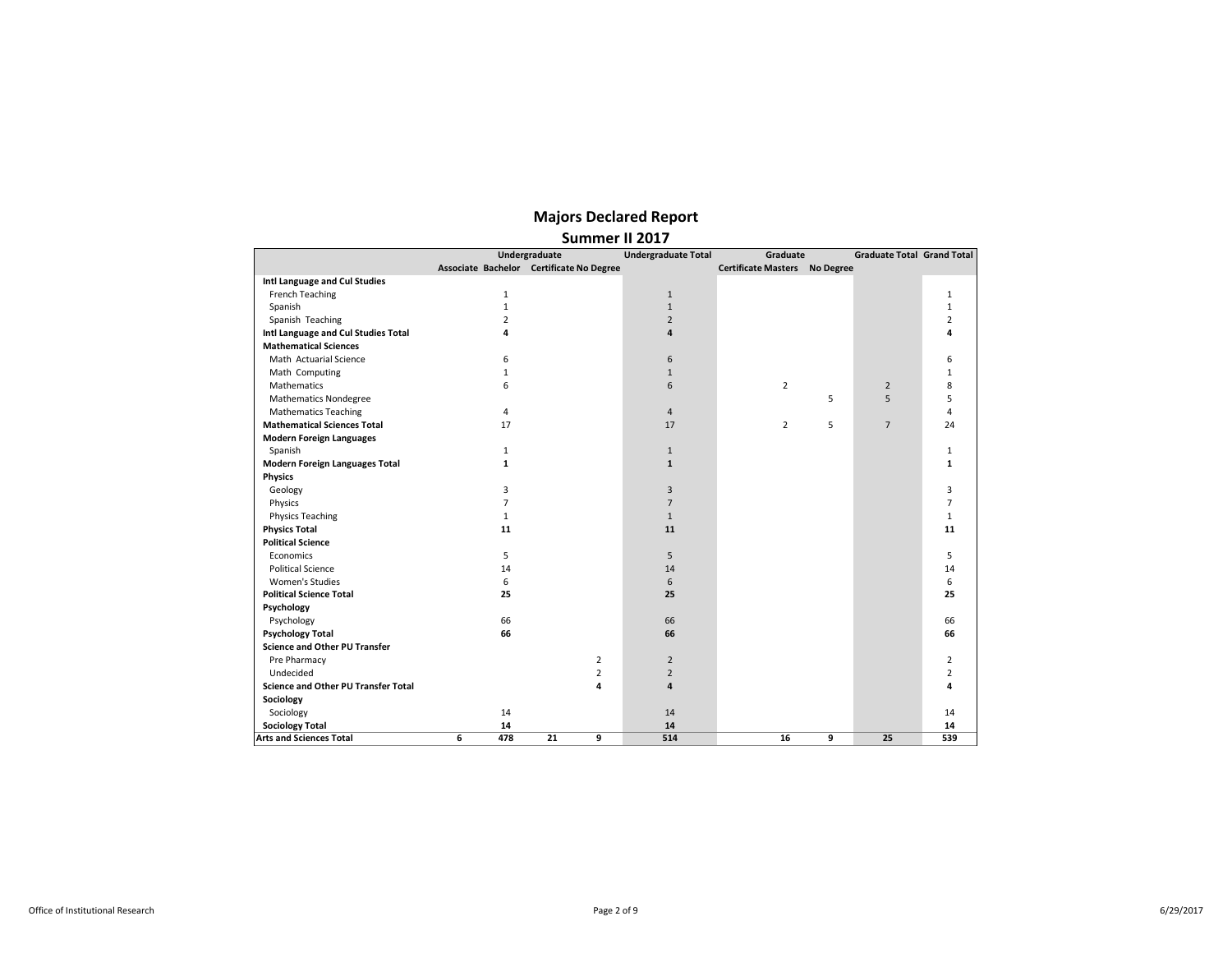|                                            |                | Summer II 2017                           |                            |                                      |   |                                   |                |
|--------------------------------------------|----------------|------------------------------------------|----------------------------|--------------------------------------|---|-----------------------------------|----------------|
|                                            |                | Undergraduate                            | <b>Undergraduate Total</b> | Graduate                             |   | <b>Graduate Total Grand Total</b> |                |
|                                            |                | Associate Bachelor Certificate No Degree |                            | <b>Certificate Masters</b> No Degree |   |                                   |                |
| Intl Language and Cul Studies              |                |                                          |                            |                                      |   |                                   |                |
| French Teaching                            | $\mathbf 1$    |                                          | $1\,$                      |                                      |   |                                   | $\mathbf{1}$   |
| Spanish                                    | $\mathbf{1}$   |                                          | $\mathbf{1}$               |                                      |   |                                   | 1              |
| Spanish Teaching                           | $\overline{2}$ |                                          | $\overline{2}$             |                                      |   |                                   | $\overline{2}$ |
| Intl Language and Cul Studies Total        | 4              |                                          | 4                          |                                      |   |                                   | 4              |
| <b>Mathematical Sciences</b>               |                |                                          |                            |                                      |   |                                   |                |
| Math Actuarial Science                     | 6              |                                          | 6                          |                                      |   |                                   | 6              |
| Math Computing                             | $\mathbf{1}$   |                                          | $\mathbf{1}$               |                                      |   |                                   | $\mathbf{1}$   |
| Mathematics                                | 6              |                                          | 6                          | $\overline{2}$                       |   | $\overline{2}$                    | 8              |
| <b>Mathematics Nondegree</b>               |                |                                          |                            |                                      | 5 | 5                                 | 5              |
| <b>Mathematics Teaching</b>                | $\overline{4}$ |                                          | $\overline{4}$             |                                      |   |                                   | $\overline{4}$ |
| <b>Mathematical Sciences Total</b>         | 17             |                                          | 17                         | $\overline{2}$                       | 5 | $\overline{7}$                    | 24             |
| <b>Modern Foreign Languages</b>            |                |                                          |                            |                                      |   |                                   |                |
| Spanish                                    | $\mathbf{1}$   |                                          | $\mathbf{1}$               |                                      |   |                                   | $\mathbf{1}$   |
| <b>Modern Foreign Languages Total</b>      | $\mathbf{1}$   |                                          | $\mathbf{1}$               |                                      |   |                                   | $\mathbf{1}$   |
| <b>Physics</b>                             |                |                                          |                            |                                      |   |                                   |                |
| Geology                                    | 3              |                                          | 3                          |                                      |   |                                   | 3              |
| Physics                                    | $\overline{7}$ |                                          | $\overline{7}$             |                                      |   |                                   | $\overline{7}$ |
| <b>Physics Teaching</b>                    | $\mathbf{1}$   |                                          | $\mathbf{1}$               |                                      |   |                                   | $\mathbf{1}$   |
| <b>Physics Total</b>                       | 11             |                                          | 11                         |                                      |   |                                   | 11             |
| <b>Political Science</b>                   |                |                                          |                            |                                      |   |                                   |                |
| Economics                                  | 5              |                                          | 5                          |                                      |   |                                   | 5              |
| <b>Political Science</b>                   | 14             |                                          | 14                         |                                      |   |                                   | 14             |
| <b>Women's Studies</b>                     | 6              |                                          | 6                          |                                      |   |                                   | 6              |
| <b>Political Science Total</b>             | 25             |                                          | 25                         |                                      |   |                                   | 25             |
| Psychology                                 |                |                                          |                            |                                      |   |                                   |                |
| Psychology                                 | 66             |                                          | 66                         |                                      |   |                                   | 66             |
| <b>Psychology Total</b>                    | 66             |                                          | 66                         |                                      |   |                                   | 66             |
| <b>Science and Other PU Transfer</b>       |                |                                          |                            |                                      |   |                                   |                |
| Pre Pharmacy                               |                | 2                                        | $\overline{2}$             |                                      |   |                                   | $\overline{2}$ |
| Undecided                                  |                | $\overline{2}$                           | $\overline{2}$             |                                      |   |                                   | $\overline{2}$ |
| <b>Science and Other PU Transfer Total</b> |                | 4                                        | 4                          |                                      |   |                                   | 4              |
| Sociology                                  |                |                                          |                            |                                      |   |                                   |                |
| Sociology                                  | 14             |                                          | 14                         |                                      |   |                                   | 14             |
| <b>Sociology Total</b>                     | 14             |                                          | 14                         |                                      |   |                                   | 14             |
| <b>Arts and Sciences Total</b>             | 6<br>478       | 9<br>21                                  | 514                        | 16                                   | 9 | 25                                | 539            |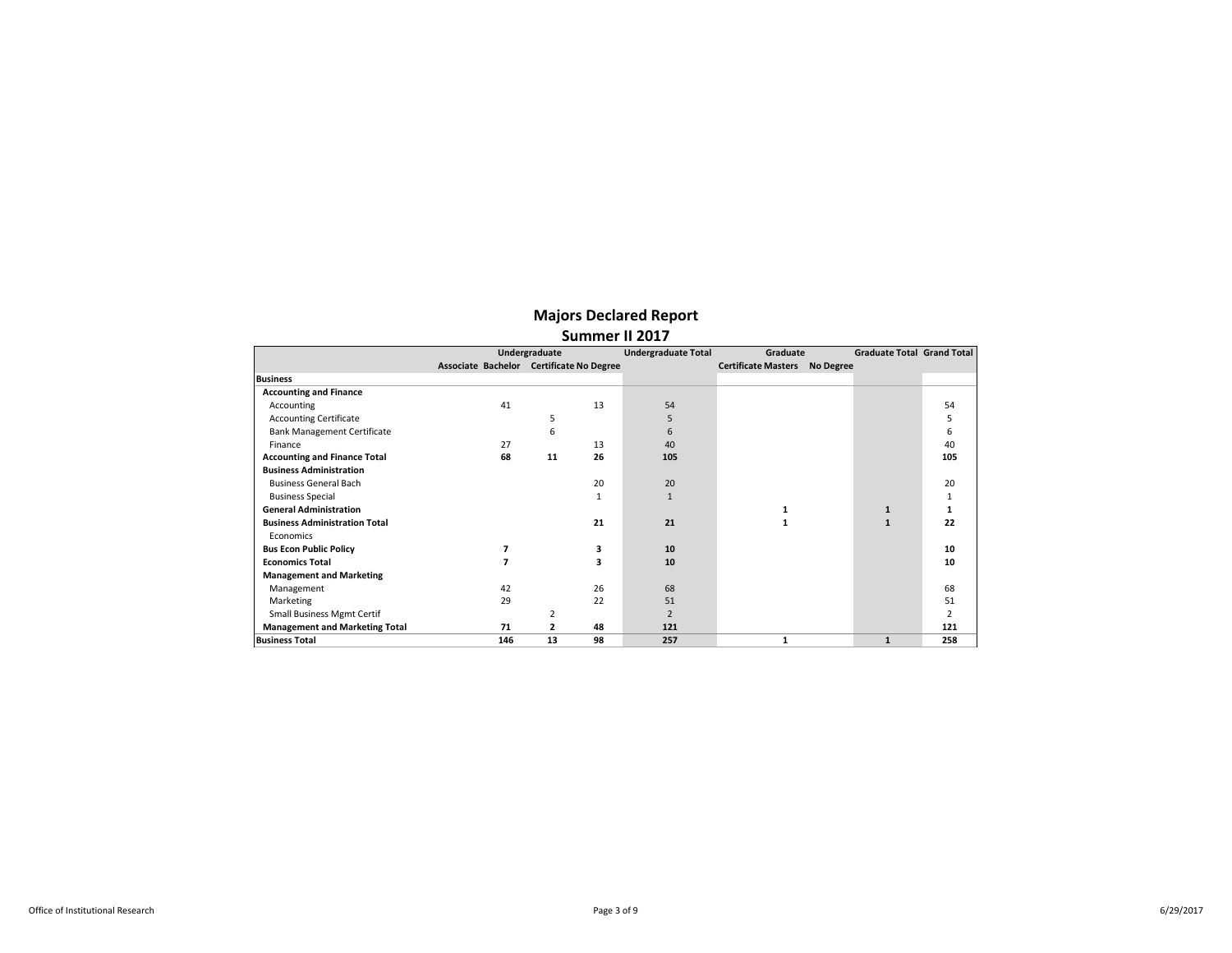|                                       |                                          | Undergraduate |    | <b>Undergraduate Total</b> | Graduate                   |           | Graduate Total Grand Total |     |
|---------------------------------------|------------------------------------------|---------------|----|----------------------------|----------------------------|-----------|----------------------------|-----|
|                                       | Associate Bachelor Certificate No Degree |               |    |                            | <b>Certificate Masters</b> | No Degree |                            |     |
| <b>Business</b>                       |                                          |               |    |                            |                            |           |                            |     |
| <b>Accounting and Finance</b>         |                                          |               |    |                            |                            |           |                            |     |
| Accounting                            | 41                                       |               | 13 | 54                         |                            |           |                            | 54  |
| <b>Accounting Certificate</b>         |                                          | 5             |    | 5                          |                            |           |                            | 5   |
| <b>Bank Management Certificate</b>    |                                          | 6             |    | 6                          |                            |           |                            | 6   |
| Finance                               | 27                                       |               | 13 | 40                         |                            |           |                            | 40  |
| <b>Accounting and Finance Total</b>   | 68                                       | 11            | 26 | 105                        |                            |           |                            | 105 |
| <b>Business Administration</b>        |                                          |               |    |                            |                            |           |                            |     |
| <b>Business General Bach</b>          |                                          |               | 20 | 20                         |                            |           |                            | 20  |
| <b>Business Special</b>               |                                          |               |    |                            |                            |           |                            | 1   |
| <b>General Administration</b>         |                                          |               |    |                            | 1                          |           | $\mathbf{1}$               | 1   |
| <b>Business Administration Total</b>  |                                          |               | 21 | 21                         | 1                          |           | $\mathbf{1}$               | 22  |
| <b>Economics</b>                      |                                          |               |    |                            |                            |           |                            |     |
| <b>Bus Econ Public Policy</b>         |                                          |               | 3  | 10                         |                            |           |                            | 10  |
| <b>Economics Total</b>                |                                          |               | 3  | 10                         |                            |           |                            | 10  |
| <b>Management and Marketing</b>       |                                          |               |    |                            |                            |           |                            |     |
| Management                            | 42                                       |               | 26 | 68                         |                            |           |                            | 68  |
| Marketing                             | 29                                       |               | 22 | 51                         |                            |           |                            | 51  |
| <b>Small Business Mgmt Certif</b>     |                                          | 2             |    | $\overline{2}$             |                            |           |                            | 2   |
| <b>Management and Marketing Total</b> | 71                                       | 2             | 48 | 121                        |                            |           |                            | 121 |
| <b>Business Total</b>                 | 146                                      | 13            | 98 | 257                        | 1                          |           | $\mathbf{1}$               | 258 |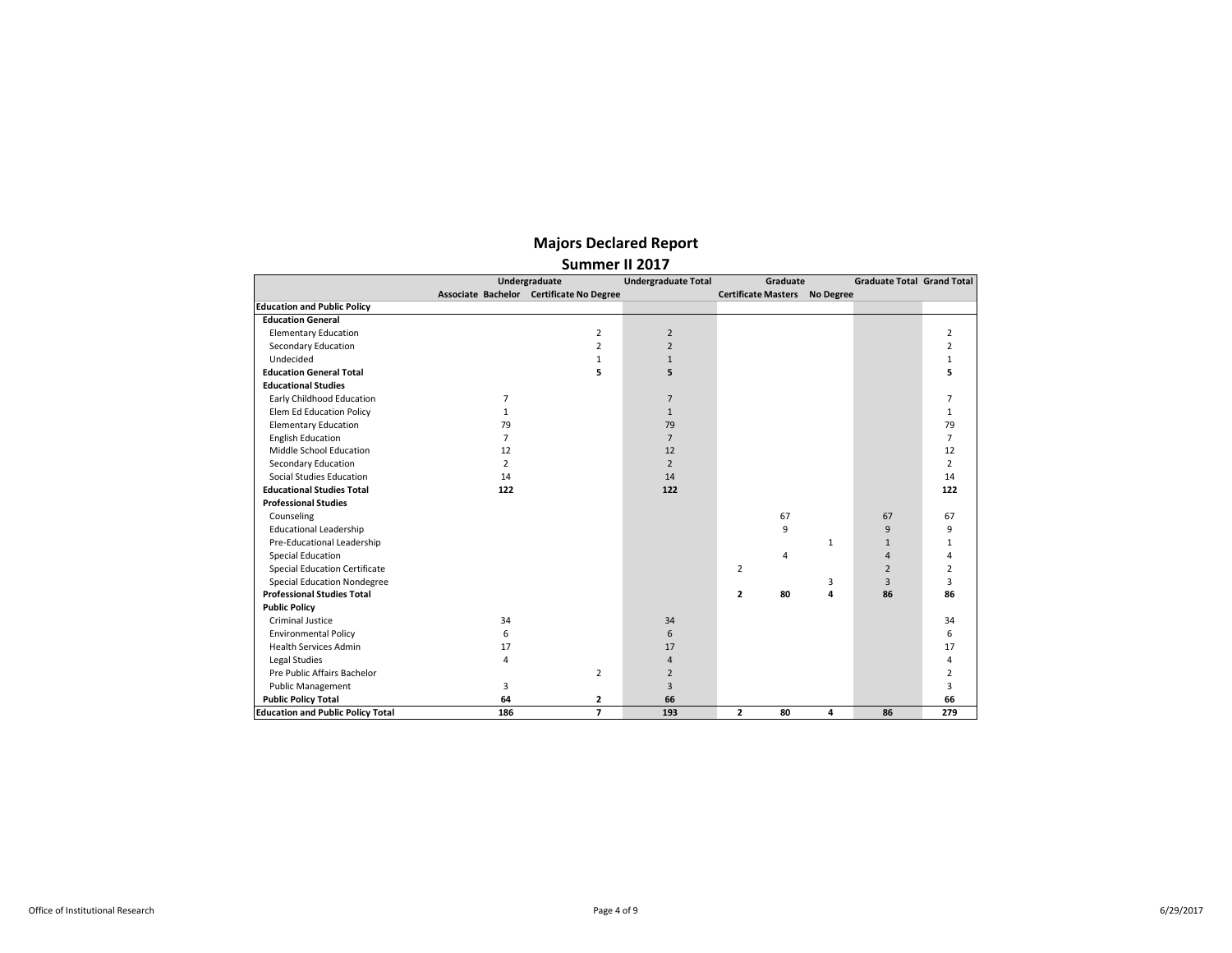|                                          |                | Undergraduate                            | <b>Undergraduate Total</b> | Graduate                             |              | <b>Graduate Total Grand Total</b> |                |
|------------------------------------------|----------------|------------------------------------------|----------------------------|--------------------------------------|--------------|-----------------------------------|----------------|
|                                          |                | Associate Bachelor Certificate No Degree |                            | <b>Certificate Masters No Degree</b> |              |                                   |                |
| <b>Education and Public Policy</b>       |                |                                          |                            |                                      |              |                                   |                |
| <b>Education General</b>                 |                |                                          |                            |                                      |              |                                   |                |
| <b>Elementary Education</b>              |                | 2                                        | $\overline{2}$             |                                      |              |                                   | 2              |
| Secondary Education                      |                | $\overline{2}$                           | $\overline{2}$             |                                      |              |                                   | $\overline{2}$ |
| Undecided                                |                | $\mathbf{1}$                             | $\mathbf{1}$               |                                      |              |                                   | $\mathbf{1}$   |
| <b>Education General Total</b>           |                | 5                                        | 5                          |                                      |              |                                   | 5              |
| <b>Educational Studies</b>               |                |                                          |                            |                                      |              |                                   |                |
| Early Childhood Education                | 7              |                                          | $\overline{7}$             |                                      |              |                                   | $\overline{7}$ |
| Elem Ed Education Policy                 | $\mathbf{1}$   |                                          | $\mathbf{1}$               |                                      |              |                                   | $\mathbf{1}$   |
| <b>Elementary Education</b>              | 79             |                                          | 79                         |                                      |              |                                   | 79             |
| <b>English Education</b>                 | $\overline{7}$ |                                          | $\overline{7}$             |                                      |              |                                   | $\overline{7}$ |
| Middle School Education                  | 12             |                                          | 12                         |                                      |              |                                   | 12             |
| Secondary Education                      | $\overline{2}$ |                                          | $\overline{2}$             |                                      |              |                                   | $\overline{2}$ |
| Social Studies Education                 | 14             |                                          | 14                         |                                      |              |                                   | 14             |
| <b>Educational Studies Total</b>         | 122            |                                          | 122                        |                                      |              |                                   | 122            |
| <b>Professional Studies</b>              |                |                                          |                            |                                      |              |                                   |                |
| Counseling                               |                |                                          |                            | 67                                   |              | 67                                | 67             |
| <b>Educational Leadership</b>            |                |                                          |                            | 9                                    |              | 9                                 | 9              |
| Pre-Educational Leadership               |                |                                          |                            |                                      | $\mathbf{1}$ | $\mathbf{1}$                      | $\mathbf{1}$   |
| <b>Special Education</b>                 |                |                                          |                            | 4                                    |              | $\overline{4}$                    | 4              |
| <b>Special Education Certificate</b>     |                |                                          |                            | $\overline{2}$                       |              | $\overline{2}$                    | $\overline{2}$ |
| <b>Special Education Nondegree</b>       |                |                                          |                            |                                      | 3            | 3                                 | 3              |
| <b>Professional Studies Total</b>        |                |                                          |                            | 80<br>$\mathbf{z}$                   | 4            | 86                                | 86             |
| <b>Public Policy</b>                     |                |                                          |                            |                                      |              |                                   |                |
| <b>Criminal Justice</b>                  | 34             |                                          | 34                         |                                      |              |                                   | 34             |
| <b>Environmental Policy</b>              | 6              |                                          | 6                          |                                      |              |                                   | 6              |
| <b>Health Services Admin</b>             | 17             |                                          | 17                         |                                      |              |                                   | 17             |
| Legal Studies                            | 4              |                                          | 4                          |                                      |              |                                   | 4              |
| Pre Public Affairs Bachelor              |                | $\overline{2}$                           | $\overline{2}$             |                                      |              |                                   | $\overline{2}$ |
| <b>Public Management</b>                 | 3              |                                          | 3                          |                                      |              |                                   | 3              |
| <b>Public Policy Total</b>               | 64             | 2                                        | 66                         |                                      |              |                                   | 66             |
| <b>Education and Public Policy Total</b> | 186            | $\overline{\phantom{a}}$                 | 193                        | $\overline{2}$<br>80                 | 4            | 86                                | 279            |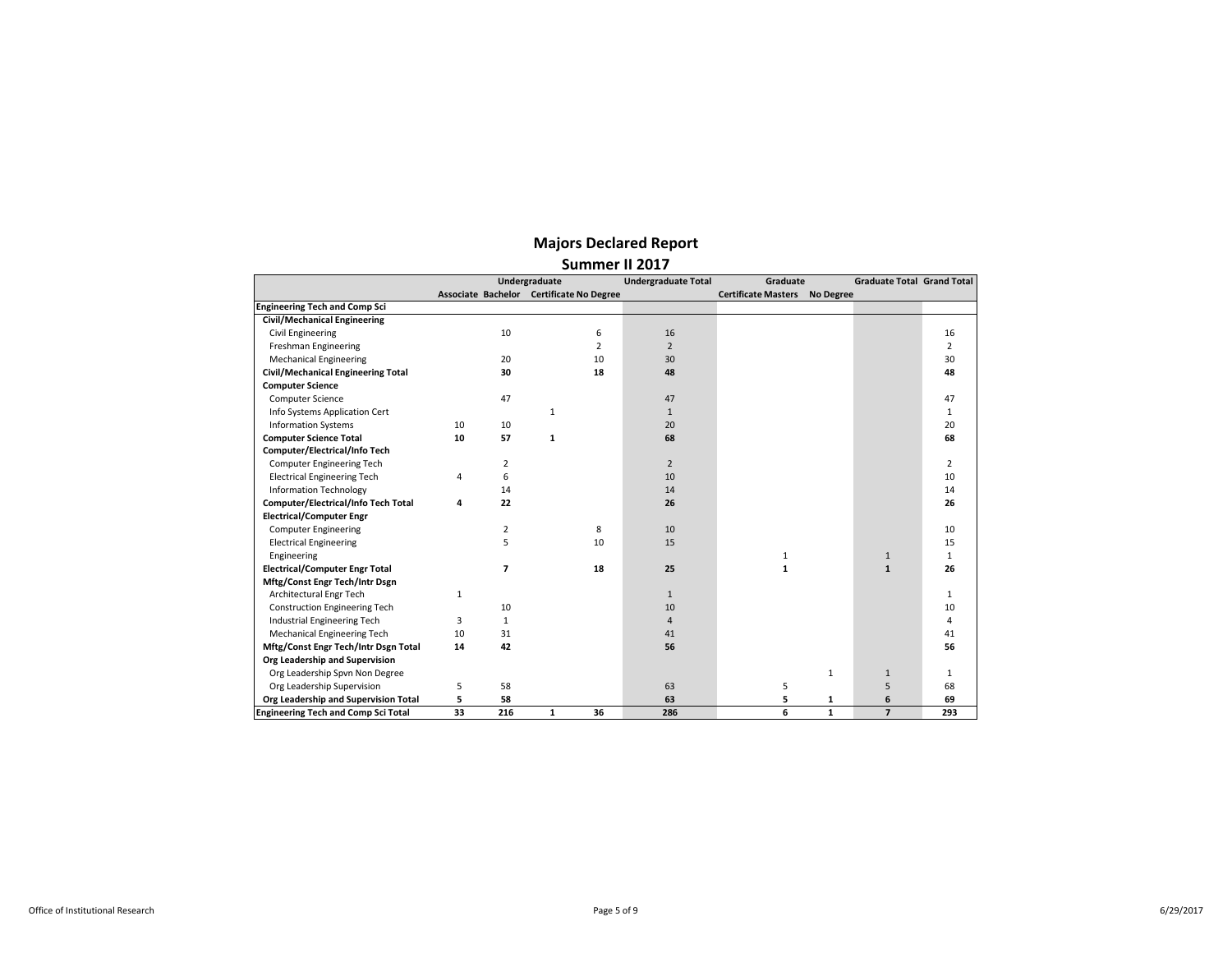|                                            |    |              | Undergraduate                            |                | <b>Undergraduate Total</b> | Graduate                             |              | <b>Graduate Total Grand Total</b> |                |
|--------------------------------------------|----|--------------|------------------------------------------|----------------|----------------------------|--------------------------------------|--------------|-----------------------------------|----------------|
|                                            |    |              | Associate Bachelor Certificate No Degree |                |                            | <b>Certificate Masters No Degree</b> |              |                                   |                |
| <b>Engineering Tech and Comp Sci</b>       |    |              |                                          |                |                            |                                      |              |                                   |                |
| <b>Civil/Mechanical Engineering</b>        |    |              |                                          |                |                            |                                      |              |                                   |                |
| Civil Engineering                          |    | 10           |                                          | 6              | 16                         |                                      |              |                                   | 16             |
| Freshman Engineering                       |    |              |                                          | $\overline{2}$ | $\overline{2}$             |                                      |              |                                   | $\overline{2}$ |
| <b>Mechanical Engineering</b>              |    | 20           |                                          | 10             | 30                         |                                      |              |                                   | 30             |
| <b>Civil/Mechanical Engineering Total</b>  |    | 30           |                                          | 18             | 48                         |                                      |              |                                   | 48             |
| <b>Computer Science</b>                    |    |              |                                          |                |                            |                                      |              |                                   |                |
| Computer Science                           |    | 47           |                                          |                | 47                         |                                      |              |                                   | 47             |
| Info Systems Application Cert              |    |              | $\mathbf{1}$                             |                | $\mathbf{1}$               |                                      |              |                                   | $\mathbf{1}$   |
| <b>Information Systems</b>                 | 10 | 10           |                                          |                | 20                         |                                      |              |                                   | 20             |
| <b>Computer Science Total</b>              | 10 | 57           | 1                                        |                | 68                         |                                      |              |                                   | 68             |
| Computer/Electrical/Info Tech              |    |              |                                          |                |                            |                                      |              |                                   |                |
| Computer Engineering Tech                  |    | 2            |                                          |                | $\overline{2}$             |                                      |              |                                   | 2              |
| <b>Electrical Engineering Tech</b>         | 4  | 6            |                                          |                | 10                         |                                      |              |                                   | 10             |
| <b>Information Technology</b>              |    | 14           |                                          |                | 14                         |                                      |              |                                   | 14             |
| Computer/Electrical/Info Tech Total        | 4  | 22           |                                          |                | 26                         |                                      |              |                                   | 26             |
| <b>Electrical/Computer Engr</b>            |    |              |                                          |                |                            |                                      |              |                                   |                |
| <b>Computer Engineering</b>                |    | 2            |                                          | 8              | 10                         |                                      |              |                                   | 10             |
| <b>Electrical Engineering</b>              |    | 5            |                                          | 10             | 15                         |                                      |              |                                   | 15             |
| Engineering                                |    |              |                                          |                |                            | $\mathbf{1}$                         |              | $\mathbf{1}$                      | $\mathbf{1}$   |
| <b>Electrical/Computer Engr Total</b>      |    | 7            |                                          | 18             | 25                         | $\mathbf{1}$                         |              | $\mathbf{1}$                      | 26             |
| Mftg/Const Engr Tech/Intr Dsgn             |    |              |                                          |                |                            |                                      |              |                                   |                |
| Architectural Engr Tech                    | 1  |              |                                          |                | $\mathbf{1}$               |                                      |              |                                   | $\mathbf{1}$   |
| Construction Engineering Tech              |    | 10           |                                          |                | 10                         |                                      |              |                                   | 10             |
| Industrial Engineering Tech                | 3  | $\mathbf{1}$ |                                          |                | $\overline{4}$             |                                      |              |                                   | 4              |
| Mechanical Engineering Tech                | 10 | 31           |                                          |                | 41                         |                                      |              |                                   | 41             |
| Mftg/Const Engr Tech/Intr Dsgn Total       | 14 | 42           |                                          |                | 56                         |                                      |              |                                   | 56             |
| Org Leadership and Supervision             |    |              |                                          |                |                            |                                      |              |                                   |                |
| Org Leadership Spvn Non Degree             |    |              |                                          |                |                            |                                      | $\mathbf{1}$ | $\mathbf{1}$                      | $\mathbf{1}$   |
| Org Leadership Supervision                 | 5  | 58           |                                          |                | 63                         | 5                                    |              | 5                                 | 68             |
| Org Leadership and Supervision Total       | 5  | 58           |                                          |                | 63                         | 5                                    | 1            | 6                                 | 69             |
| <b>Engineering Tech and Comp Sci Total</b> | 33 | 216          | $\mathbf{1}$                             | 36             | 286                        | 6                                    | $\mathbf{1}$ | $\overline{7}$                    | 293            |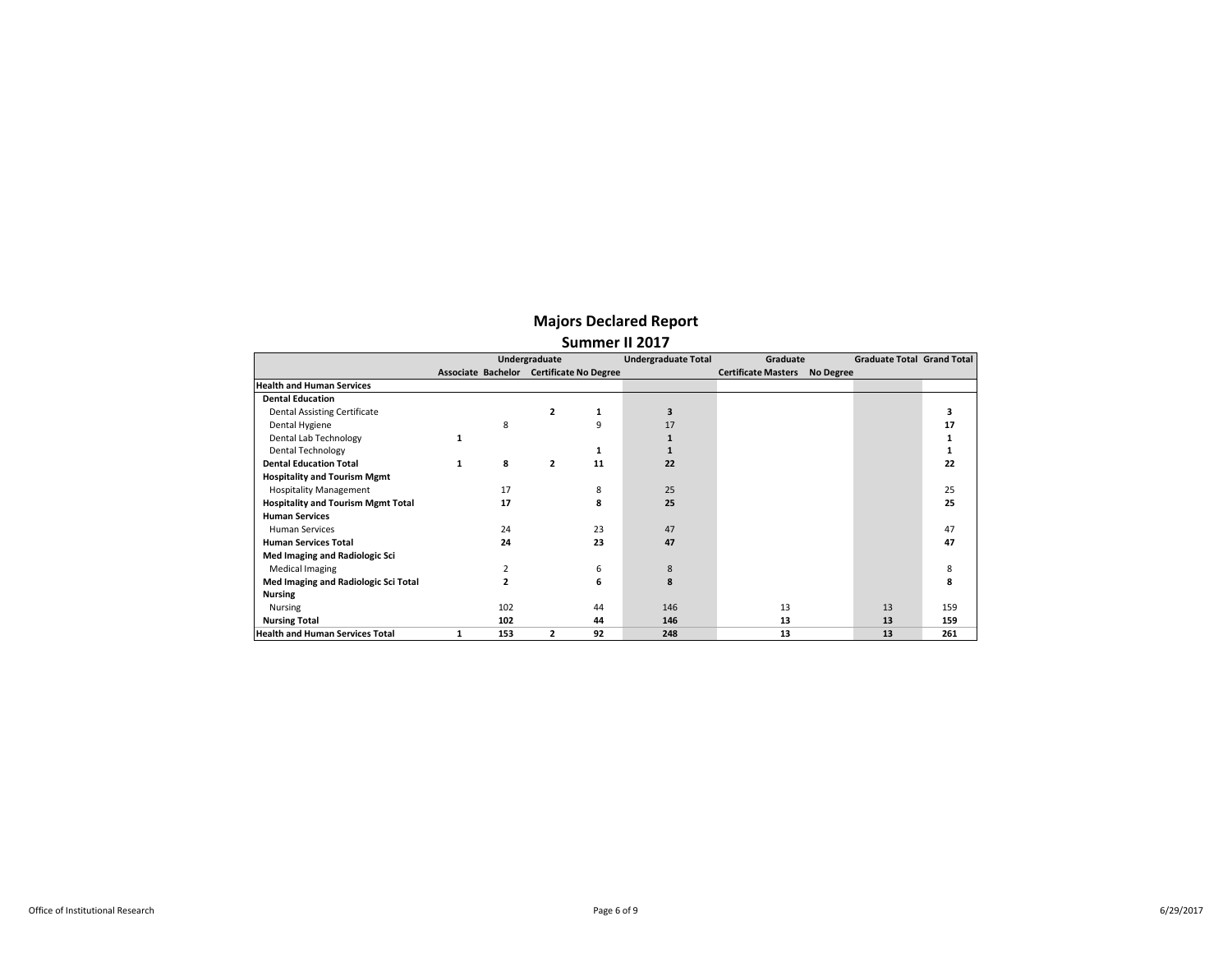|                                           | Undergraduate |     |                | <b>Undergraduate Total</b>               | Graduate |                            | <b>Graduate Total Grand Total</b> |    |     |
|-------------------------------------------|---------------|-----|----------------|------------------------------------------|----------|----------------------------|-----------------------------------|----|-----|
|                                           |               |     |                | Associate Bachelor Certificate No Degree |          | <b>Certificate Masters</b> | No Degree                         |    |     |
| <b>Health and Human Services</b>          |               |     |                |                                          |          |                            |                                   |    |     |
| <b>Dental Education</b>                   |               |     |                |                                          |          |                            |                                   |    |     |
| Dental Assisting Certificate              |               |     | $\overline{2}$ | 1                                        | 3        |                            |                                   |    |     |
| Dental Hygiene                            |               | 8   |                | 9                                        | 17       |                            |                                   |    | 17  |
| Dental Lab Technology                     | 1             |     |                |                                          |          |                            |                                   |    |     |
| <b>Dental Technology</b>                  |               |     |                | 1                                        |          |                            |                                   |    |     |
| <b>Dental Education Total</b>             | 1             | 8   | $\mathbf{z}$   | 11                                       | 22       |                            |                                   |    | 22  |
| <b>Hospitality and Tourism Mgmt</b>       |               |     |                |                                          |          |                            |                                   |    |     |
| <b>Hospitality Management</b>             |               | 17  |                | 8                                        | 25       |                            |                                   |    | 25  |
| <b>Hospitality and Tourism Mgmt Total</b> |               | 17  |                | 8                                        | 25       |                            |                                   |    | 25  |
| <b>Human Services</b>                     |               |     |                |                                          |          |                            |                                   |    |     |
| <b>Human Services</b>                     |               | 24  |                | 23                                       | 47       |                            |                                   |    | 47  |
| <b>Human Services Total</b>               |               | 24  |                | 23                                       | 47       |                            |                                   |    | 47  |
| Med Imaging and Radiologic Sci            |               |     |                |                                          |          |                            |                                   |    |     |
| <b>Medical Imaging</b>                    |               | 2   |                | 6                                        | 8        |                            |                                   |    | 8   |
| Med Imaging and Radiologic Sci Total      |               | 2   |                | 6                                        | 8        |                            |                                   |    | 8   |
| <b>Nursing</b>                            |               |     |                |                                          |          |                            |                                   |    |     |
| Nursing                                   |               | 102 |                | 44                                       | 146      | 13                         |                                   | 13 | 159 |
| <b>Nursing Total</b>                      |               | 102 |                | 44                                       | 146      | 13                         |                                   | 13 | 159 |
| <b>Health and Human Services Total</b>    |               | 153 | $\mathbf{z}$   | 92                                       | 248      | 13                         |                                   | 13 | 261 |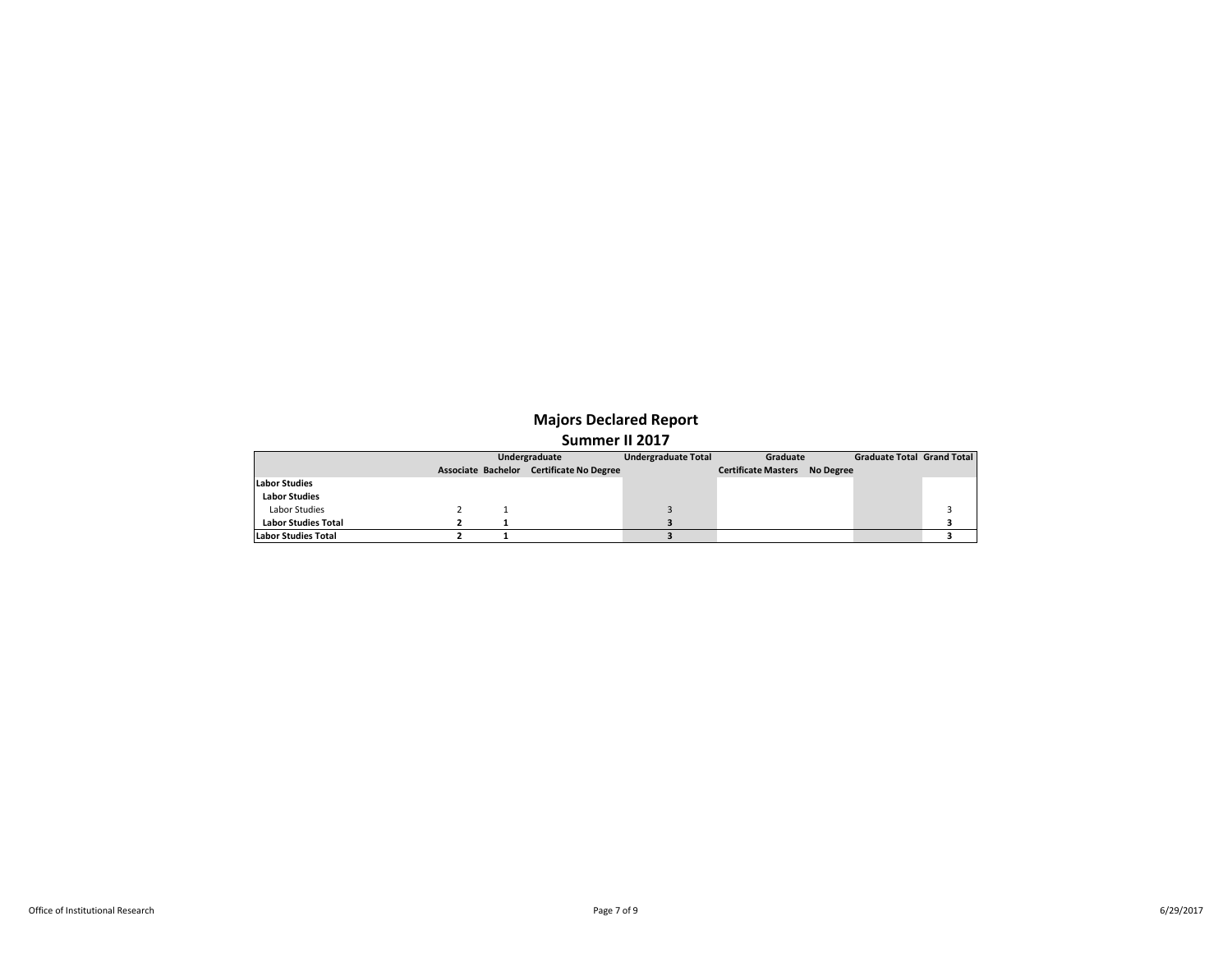|                            | Undergraduate |                                          | <b>Undergraduate Total</b> | Graduate                             |  | Graduate Total Grand Total |  |
|----------------------------|---------------|------------------------------------------|----------------------------|--------------------------------------|--|----------------------------|--|
|                            |               | Associate Bachelor Certificate No Degree |                            | <b>Certificate Masters No Degree</b> |  |                            |  |
| <b>Labor Studies</b>       |               |                                          |                            |                                      |  |                            |  |
| <b>Labor Studies</b>       |               |                                          |                            |                                      |  |                            |  |
| Labor Studies              |               |                                          |                            |                                      |  |                            |  |
| <b>Labor Studies Total</b> |               |                                          |                            |                                      |  |                            |  |
| Labor Studies Total        |               |                                          |                            |                                      |  |                            |  |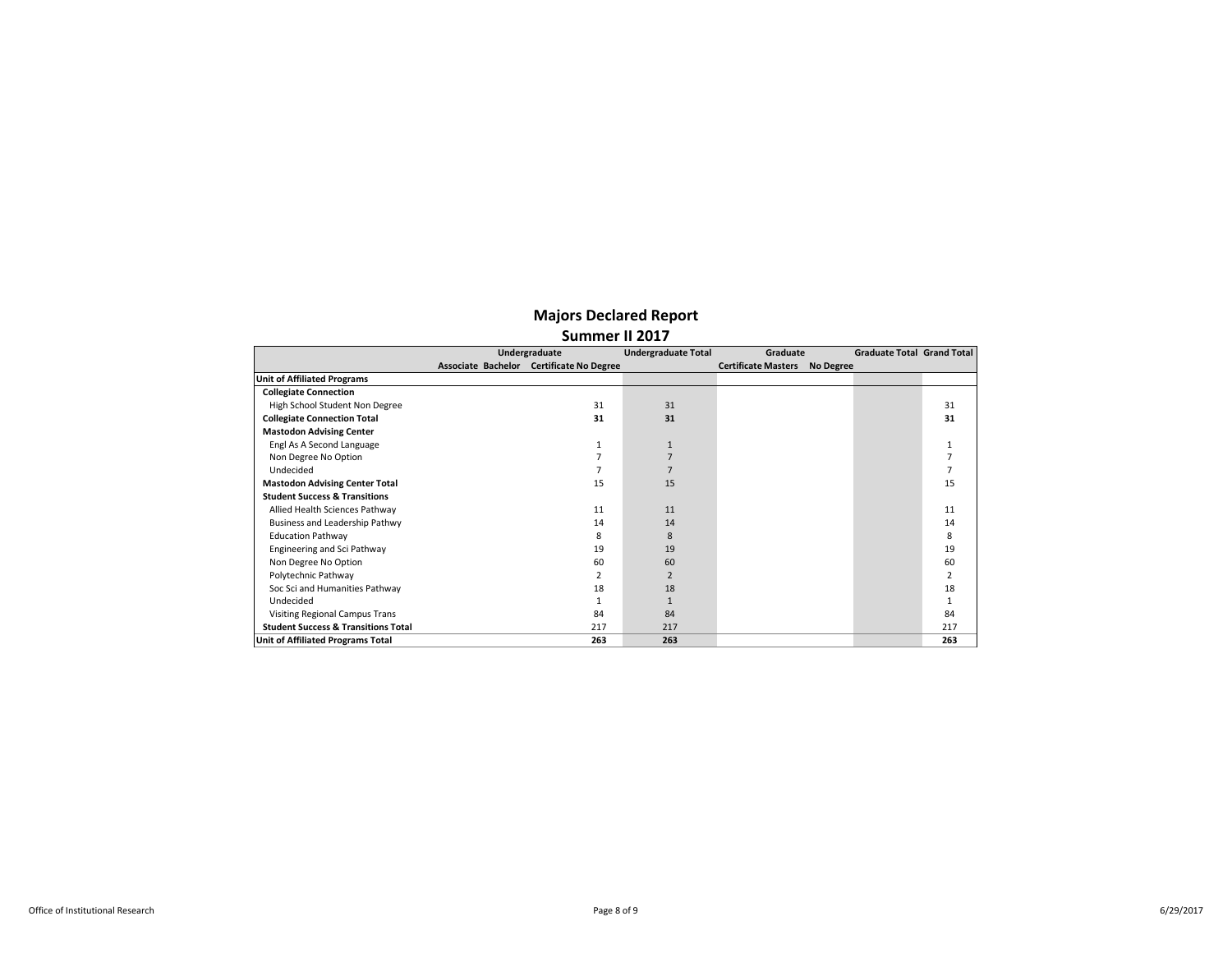|                                                | Undergraduate                            | <b>Undergraduate Total</b> | Graduate                                | <b>Graduate Total Grand Total</b> |                |
|------------------------------------------------|------------------------------------------|----------------------------|-----------------------------------------|-----------------------------------|----------------|
|                                                | Associate Bachelor Certificate No Degree |                            | <b>Certificate Masters</b><br>No Degree |                                   |                |
| <b>Unit of Affiliated Programs</b>             |                                          |                            |                                         |                                   |                |
| <b>Collegiate Connection</b>                   |                                          |                            |                                         |                                   |                |
| High School Student Non Degree                 | 31                                       | 31                         |                                         |                                   | 31             |
| <b>Collegiate Connection Total</b>             | 31                                       | 31                         |                                         |                                   | 31             |
| <b>Mastodon Advising Center</b>                |                                          |                            |                                         |                                   |                |
| Engl As A Second Language                      | 1                                        | $\mathbf{1}$               |                                         |                                   | 1              |
| Non Degree No Option                           |                                          |                            |                                         |                                   |                |
| Undecided                                      |                                          |                            |                                         |                                   |                |
| <b>Mastodon Advising Center Total</b>          | 15                                       | 15                         |                                         |                                   | 15             |
| <b>Student Success &amp; Transitions</b>       |                                          |                            |                                         |                                   |                |
| Allied Health Sciences Pathway                 | 11                                       | 11                         |                                         |                                   | 11             |
| Business and Leadership Pathwy                 | 14                                       | 14                         |                                         |                                   | 14             |
| <b>Education Pathway</b>                       | <sub>8</sub>                             | 8                          |                                         |                                   | 8              |
| Engineering and Sci Pathway                    | 19                                       | 19                         |                                         |                                   | 19             |
| Non Degree No Option                           | 60                                       | 60                         |                                         |                                   | 60             |
| Polytechnic Pathway                            | 2                                        | $\overline{2}$             |                                         |                                   | $\overline{2}$ |
| Soc Sci and Humanities Pathway                 | 18                                       | 18                         |                                         |                                   | 18             |
| Undecided                                      |                                          | $\mathbf{1}$               |                                         |                                   |                |
| Visiting Regional Campus Trans                 | 84                                       | 84                         |                                         |                                   | 84             |
| <b>Student Success &amp; Transitions Total</b> | 217                                      | 217                        |                                         |                                   | 217            |
| <b>Unit of Affiliated Programs Total</b>       | 263                                      | 263                        |                                         |                                   | 263            |